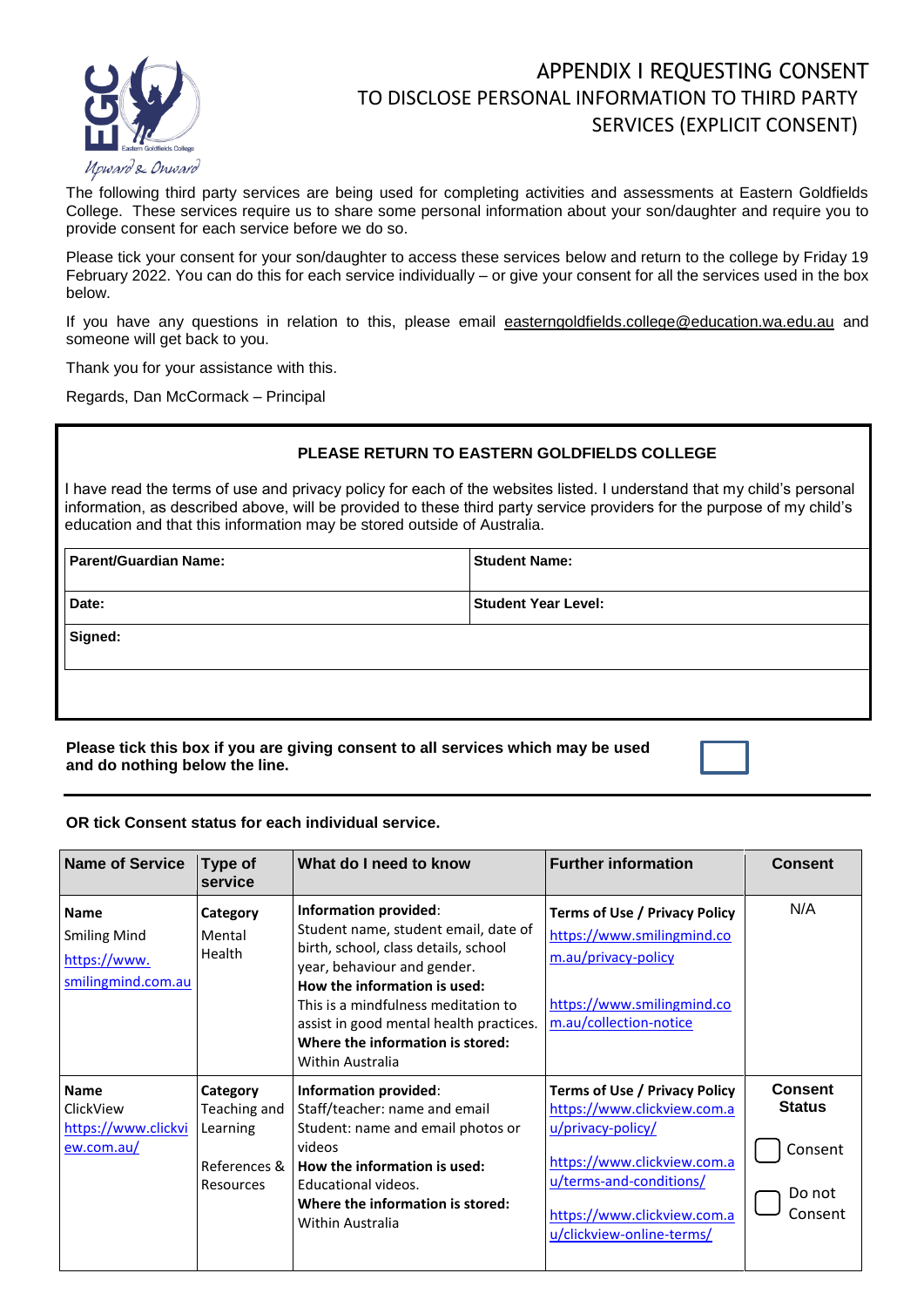

## APPENDIX I REQUESTING CONSENT TO DISCLOSE PERSONAL INFORMATION TO THIRD PARTY SERVICES (EXPLICIT CONSENT)

The following third party services are being used for completing activities and assessments at Eastern Goldfields College. These services require us to share some personal information about your son/daughter and require you to provide consent for each service before we do so.

Please tick your consent for your son/daughter to access these services below and return to the college by Friday 19 February 2022. You can do this for each service individually – or give your consent for all the services used in the box below.

If you have any questions in relation to this, please email [easterngoldfields.college@education.wa.edu.au](mailto:easterngoldfields.college@education.wa.edu.au) and someone will get back to you.

Thank you for your assistance with this.

Regards, Dan McCormack – Principal

## **PLEASE RETURN TO EASTERN GOLDFIELDS COLLEGE**

I have read the terms of use and privacy policy for each of the websites listed. I understand that my child's personal information, as described above, will be provided to these third party service providers for the purpose of my child's education and that this information may be stored outside of Australia.

| Parent/Guardian Name: | <b>Student Name:</b>       |  |  |
|-----------------------|----------------------------|--|--|
| Date:                 | <b>Student Year Level:</b> |  |  |
| Signed:               |                            |  |  |
|                       |                            |  |  |

**Please tick this box if you are giving consent to all services which may be used and do nothing below the line.**

## **OR tick Consent status for each individual service.**

| <b>Name of Service</b>                                                   | Type of<br>service                                                | What do I need to know                                                                                                                                                                                                                                                                                         | <b>Further information</b>                                                                                                                                                                              | <b>Consent</b>                                                  |
|--------------------------------------------------------------------------|-------------------------------------------------------------------|----------------------------------------------------------------------------------------------------------------------------------------------------------------------------------------------------------------------------------------------------------------------------------------------------------------|---------------------------------------------------------------------------------------------------------------------------------------------------------------------------------------------------------|-----------------------------------------------------------------|
| <b>Name</b><br><b>Smiling Mind</b><br>https://www.<br>smilingmind.com.au | Category<br>Mental<br>Health                                      | Information provided:<br>Student name, student email, date of<br>birth, school, class details, school<br>year, behaviour and gender.<br>How the information is used:<br>This is a mindfulness meditation to<br>assist in good mental health practices.<br>Where the information is stored:<br>Within Australia | Terms of Use / Privacy Policy<br>https://www.smilingmind.co<br>m.au/privacy-policy<br>https://www.smilingmind.co<br>m.au/collection-notice                                                              | N/A                                                             |
| <b>Name</b><br>ClickView<br>https://www.clickvi<br>ew.com.au/            | Category<br>Teaching and<br>Learning<br>References &<br>Resources | Information provided:<br>Staff/teacher: name and email<br>Student: name and email photos or<br>videos<br>How the information is used:<br>Educational videos.<br>Where the information is stored:<br>Within Australia                                                                                           | Terms of Use / Privacy Policy<br>https://www.clickview.com.a<br>u/privacy-policy/<br>https://www.clickview.com.a<br>u/terms-and-conditions/<br>https://www.clickview.com.a<br>u/clickview-online-terms/ | <b>Consent</b><br><b>Status</b><br>Consent<br>Do not<br>Consent |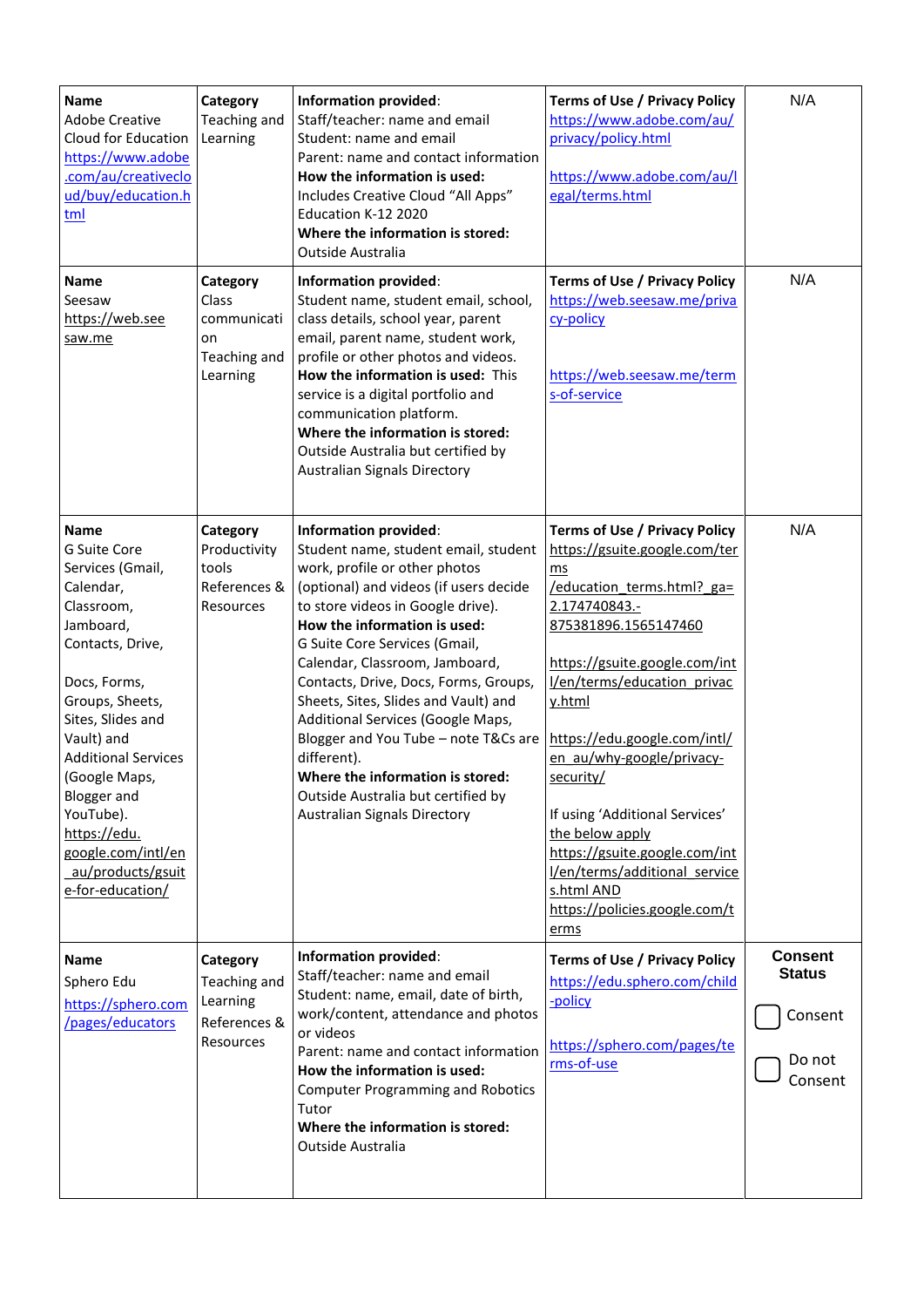| <b>Name</b><br><b>Adobe Creative</b><br>Cloud for Education<br>https://www.adobe<br>.com/au/creativeclo<br>ud/buy/education.h<br><u>tml</u>                                                                                                                                                                                                        | Category<br>Teaching and<br>Learning                               | <b>Information provided:</b><br>Staff/teacher: name and email<br>Student: name and email<br>Parent: name and contact information<br>How the information is used:<br>Includes Creative Cloud "All Apps"<br>Education K-12 2020<br>Where the information is stored:<br>Outside Australia                                                                                                                                                                                                                                                                                                | <b>Terms of Use / Privacy Policy</b><br>https://www.adobe.com/au/<br>privacy/policy.html<br>https://www.adobe.com/au/l<br>egal/terms.html                                                                                                                                                                                                                                                                                                                                            | N/A                                                             |
|----------------------------------------------------------------------------------------------------------------------------------------------------------------------------------------------------------------------------------------------------------------------------------------------------------------------------------------------------|--------------------------------------------------------------------|---------------------------------------------------------------------------------------------------------------------------------------------------------------------------------------------------------------------------------------------------------------------------------------------------------------------------------------------------------------------------------------------------------------------------------------------------------------------------------------------------------------------------------------------------------------------------------------|--------------------------------------------------------------------------------------------------------------------------------------------------------------------------------------------------------------------------------------------------------------------------------------------------------------------------------------------------------------------------------------------------------------------------------------------------------------------------------------|-----------------------------------------------------------------|
| Name<br>Seesaw<br>https://web.see<br>saw.me                                                                                                                                                                                                                                                                                                        | Category<br>Class<br>communicati<br>on<br>Teaching and<br>Learning | Information provided:<br>Student name, student email, school,<br>class details, school year, parent<br>email, parent name, student work,<br>profile or other photos and videos.<br>How the information is used: This<br>service is a digital portfolio and<br>communication platform.<br>Where the information is stored:<br>Outside Australia but certified by<br><b>Australian Signals Directory</b>                                                                                                                                                                                | <b>Terms of Use / Privacy Policy</b><br>https://web.seesaw.me/priva<br>cy-policy<br>https://web.seesaw.me/term<br>s-of-service                                                                                                                                                                                                                                                                                                                                                       | N/A                                                             |
| <b>Name</b><br>G Suite Core<br>Services (Gmail,<br>Calendar,<br>Classroom,<br>Jamboard,<br>Contacts, Drive,<br>Docs, Forms,<br>Groups, Sheets,<br>Sites, Slides and<br>Vault) and<br><b>Additional Services</b><br>(Google Maps,<br><b>Blogger</b> and<br>YouTube).<br>https://edu.<br>google.com/intl/en<br>au/products/gsuit<br>e-for-education/ | Category<br>Productivity<br>tools<br>References &<br>Resources     | <b>Information provided:</b><br>Student name, student email, student<br>work, profile or other photos<br>(optional) and videos (if users decide<br>to store videos in Google drive).<br>How the information is used:<br>G Suite Core Services (Gmail,<br>Calendar, Classroom, Jamboard,<br>Contacts, Drive, Docs, Forms, Groups,<br>Sheets, Sites, Slides and Vault) and<br>Additional Services (Google Maps,<br>Blogger and You Tube - note T&Cs are<br>different).<br>Where the information is stored:<br>Outside Australia but certified by<br><b>Australian Signals Directory</b> | <b>Terms of Use / Privacy Policy</b><br>https://gsuite.google.com/ter<br>ms<br>/education terms.html? ga=<br>2.174740843.-<br>875381896.1565147460<br>https://gsuite.google.com/int<br>I/en/terms/education privac<br>y.html<br>https://edu.google.com/intl/<br>en au/why-google/privacy-<br>security/<br>If using 'Additional Services'<br>the below apply<br>https://gsuite.google.com/int<br>I/en/terms/additional service<br>s.html AND<br>https://policies.google.com/t<br>erms | N/A                                                             |
| <b>Name</b><br>Sphero Edu<br>https://sphero.com<br>/pages/educators                                                                                                                                                                                                                                                                                | Category<br>Teaching and<br>Learning<br>References &<br>Resources  | <b>Information provided:</b><br>Staff/teacher: name and email<br>Student: name, email, date of birth,<br>work/content, attendance and photos<br>or videos<br>Parent: name and contact information<br>How the information is used:<br><b>Computer Programming and Robotics</b><br>Tutor<br>Where the information is stored:<br>Outside Australia                                                                                                                                                                                                                                       | <b>Terms of Use / Privacy Policy</b><br>https://edu.sphero.com/child<br>-policy<br>https://sphero.com/pages/te<br>rms-of-use                                                                                                                                                                                                                                                                                                                                                         | <b>Consent</b><br><b>Status</b><br>Consent<br>Do not<br>Consent |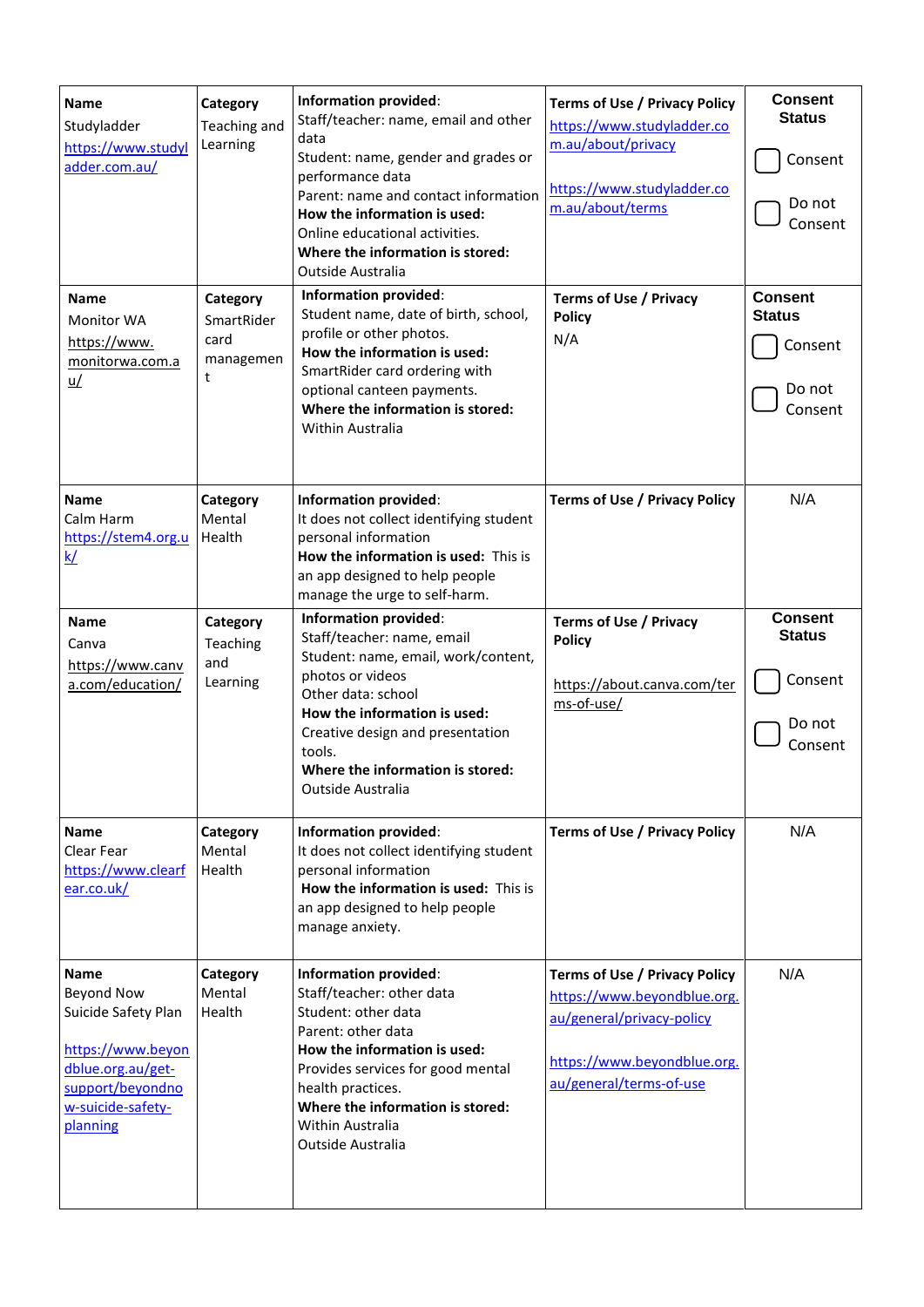| <b>Name</b><br>Studyladder<br>https://www.studyl<br>adder.com.au/<br><b>Name</b><br><b>Monitor WA</b><br>https://www.<br>monitorwa.com.a<br>$\underline{u}/$ | Category<br>Teaching and<br>Learning<br>Category<br>SmartRider<br>card<br>managemen<br>t | Information provided:<br>Staff/teacher: name, email and other<br>data<br>Student: name, gender and grades or<br>performance data<br>Parent: name and contact information<br>How the information is used:<br>Online educational activities.<br>Where the information is stored:<br><b>Outside Australia</b><br>Information provided:<br>Student name, date of birth, school,<br>profile or other photos.<br>How the information is used:<br>SmartRider card ordering with<br>optional canteen payments.<br>Where the information is stored:<br>Within Australia | <b>Terms of Use / Privacy Policy</b><br>https://www.studyladder.co<br>m.au/about/privacy<br>https://www.studyladder.co<br>m.au/about/terms<br><b>Terms of Use / Privacy</b><br><b>Policy</b><br>N/A | <b>Consent</b><br><b>Status</b><br>Consent<br>Do not<br>Consent<br><b>Consent</b><br><b>Status</b><br>Consent<br>Do not<br>Consent |
|--------------------------------------------------------------------------------------------------------------------------------------------------------------|------------------------------------------------------------------------------------------|----------------------------------------------------------------------------------------------------------------------------------------------------------------------------------------------------------------------------------------------------------------------------------------------------------------------------------------------------------------------------------------------------------------------------------------------------------------------------------------------------------------------------------------------------------------|-----------------------------------------------------------------------------------------------------------------------------------------------------------------------------------------------------|------------------------------------------------------------------------------------------------------------------------------------|
| <b>Name</b><br>Calm Harm<br>https://stem4.org.u<br>k/                                                                                                        | Category<br>Mental<br>Health                                                             | Information provided:<br>It does not collect identifying student<br>personal information<br>How the information is used: This is<br>an app designed to help people<br>manage the urge to self-harm.                                                                                                                                                                                                                                                                                                                                                            | <b>Terms of Use / Privacy Policy</b>                                                                                                                                                                | N/A                                                                                                                                |
| <b>Name</b><br>Canva<br>https://www.canv<br>a.com/education/                                                                                                 | Category<br>Teaching<br>and<br>Learning                                                  | Information provided:<br>Staff/teacher: name, email<br>Student: name, email, work/content,<br>photos or videos<br>Other data: school<br>How the information is used:<br>Creative design and presentation<br>tools.<br>Where the information is stored:<br><b>Outside Australia</b>                                                                                                                                                                                                                                                                             | <b>Terms of Use / Privacy</b><br><b>Policy</b><br>https://about.canva.com/ter<br>ms-of-use/                                                                                                         | <b>Consent</b><br><b>Status</b><br>Consent<br>Do not<br>Consent                                                                    |
| <b>Name</b><br>Clear Fear<br>https://www.clearf<br>ear.co.uk/                                                                                                | Category<br>Mental<br>Health                                                             | <b>Information provided:</b><br>It does not collect identifying student<br>personal information<br>How the information is used: This is<br>an app designed to help people<br>manage anxiety.                                                                                                                                                                                                                                                                                                                                                                   | <b>Terms of Use / Privacy Policy</b>                                                                                                                                                                | N/A                                                                                                                                |
| <b>Name</b><br><b>Beyond Now</b><br>Suicide Safety Plan<br>https://www.beyon<br>dblue.org.au/get-<br>support/beyondno<br>w-suicide-safety-<br>planning       | Category<br>Mental<br>Health                                                             | Information provided:<br>Staff/teacher: other data<br>Student: other data<br>Parent: other data<br>How the information is used:<br>Provides services for good mental<br>health practices.<br>Where the information is stored:<br>Within Australia<br><b>Outside Australia</b>                                                                                                                                                                                                                                                                                  | <b>Terms of Use / Privacy Policy</b><br>https://www.beyondblue.org.<br>au/general/privacy-policy<br>https://www.beyondblue.org.<br>au/general/terms-of-use                                          | N/A                                                                                                                                |